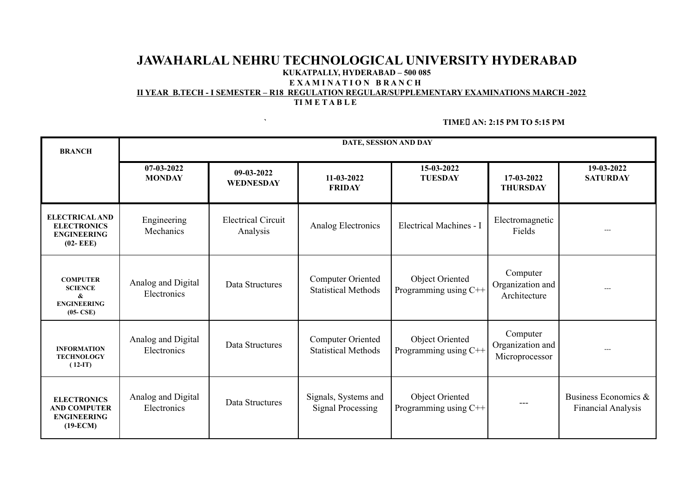## **JAWAHARLAL NEHRU TECHNOLOGICAL UNIVERSITY HYDERABAD KUKATPALLY, HYDERABAD – 500 085 E X A M I N A T I O N B R A N C H**

#### **II YEAR B.TECH - I SEMESTER – R18 REGULATION REGULAR/SUPPLEMENTARY EXAMINATIONS MARCH -2022 TI M E T A B L E**

**` TIME AN: 2:15 PM TO 5:15 PM**

| <b>BRANCH</b>                                                                     | DATE, SESSION AND DAY             |                                       |                                                        |                                                 |                                                |                                                   |
|-----------------------------------------------------------------------------------|-----------------------------------|---------------------------------------|--------------------------------------------------------|-------------------------------------------------|------------------------------------------------|---------------------------------------------------|
|                                                                                   | 07-03-2022<br><b>MONDAY</b>       | 09-03-2022<br><b>WEDNESDAY</b>        | 11-03-2022<br><b>FRIDAY</b>                            | 15-03-2022<br><b>TUESDAY</b>                    | 17-03-2022<br><b>THURSDAY</b>                  | 19-03-2022<br><b>SATURDAY</b>                     |
| <b>ELECTRICAL AND</b><br><b>ELECTRONICS</b><br><b>ENGINEERING</b><br>$(02 - EEE)$ | Engineering<br>Mechanics          | <b>Electrical Circuit</b><br>Analysis | Analog Electronics                                     | Electrical Machines - I                         | Electromagnetic<br>Fields                      | ---                                               |
| <b>COMPUTER</b><br><b>SCIENCE</b><br>&<br><b>ENGINEERING</b><br>$(05-CSE)$        | Analog and Digital<br>Electronics | Data Structures                       | Computer Oriented<br><b>Statistical Methods</b>        | Object Oriented<br>Programming using C++        | Computer<br>Organization and<br>Architecture   |                                                   |
| <b>INFORMATION</b><br><b>TECHNOLOGY</b><br>$(12-T)$                               | Analog and Digital<br>Electronics | Data Structures                       | <b>Computer Oriented</b><br><b>Statistical Methods</b> | Object Oriented<br>Programming using C++        | Computer<br>Organization and<br>Microprocessor | $---$                                             |
| <b>ELECTRONICS</b><br><b>AND COMPUTER</b><br><b>ENGINEERING</b><br>$(19-ECM)$     | Analog and Digital<br>Electronics | Data Structures                       | Signals, Systems and<br><b>Signal Processing</b>       | <b>Object Oriented</b><br>Programming using C++ |                                                | Business Economics &<br><b>Financial Analysis</b> |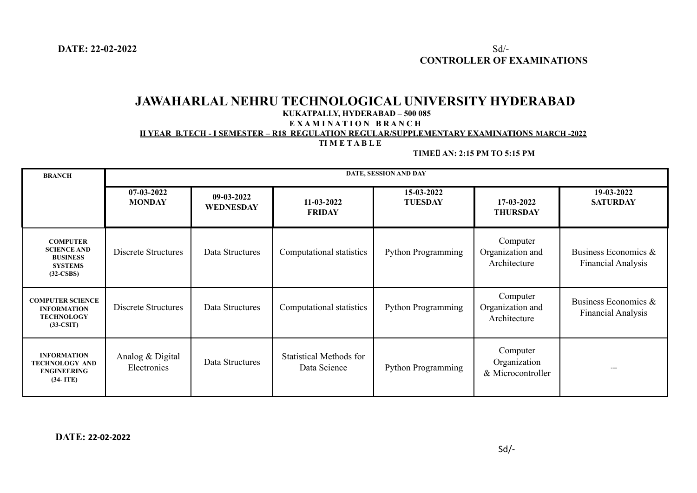# **JAWAHARLAL NEHRU TECHNOLOGICAL UNIVERSITY HYDERABAD**

#### **KUKATPALLY, HYDERABAD – 500 085**

**E X A M I N A T I O N B R A N C H**

**II YEAR B.TECH - I SEMESTER – R18 REGULATION REGULAR/SUPPLEMENTARY EXAMINATIONS MARCH -2022**

### **TI M E T A B L E**

**TIME AN: 2:15 PM TO 5:15 PM**

| <b>BRANCH</b>                                                                             | DATE, SESSION AND DAY           |                                |                                                |                              |                                               |                                                   |  |
|-------------------------------------------------------------------------------------------|---------------------------------|--------------------------------|------------------------------------------------|------------------------------|-----------------------------------------------|---------------------------------------------------|--|
|                                                                                           | 07-03-2022<br><b>MONDAY</b>     | 09-03-2022<br><b>WEDNESDAY</b> | $11 - 03 - 2022$<br><b>FRIDAY</b>              | 15-03-2022<br><b>TUESDAY</b> | 17-03-2022<br><b>THURSDAY</b>                 | 19-03-2022<br><b>SATURDAY</b>                     |  |
| <b>COMPUTER</b><br><b>SCIENCE AND</b><br><b>BUSINESS</b><br><b>SYSTEMS</b><br>$(32-CSBS)$ | Discrete Structures             | Data Structures                | Computational statistics                       | Python Programming           | Computer<br>Organization and<br>Architecture  | Business Economics &<br><b>Financial Analysis</b> |  |
| <b>COMPUTER SCIENCE</b><br><b>INFORMATION</b><br><b>TECHNOLOGY</b><br>$(33-CSIT)$         | Discrete Structures             | Data Structures                | Computational statistics                       | Python Programming           | Computer<br>Organization and<br>Architecture  | Business Economics &<br><b>Financial Analysis</b> |  |
| <b>INFORMATION</b><br><b>TECHNOLOGY AND</b><br><b>ENGINEERING</b><br>$(34-ITE)$           | Analog & Digital<br>Electronics | Data Structures                | <b>Statistical Methods for</b><br>Data Science | Python Programming           | Computer<br>Organization<br>& Microcontroller | $  -$                                             |  |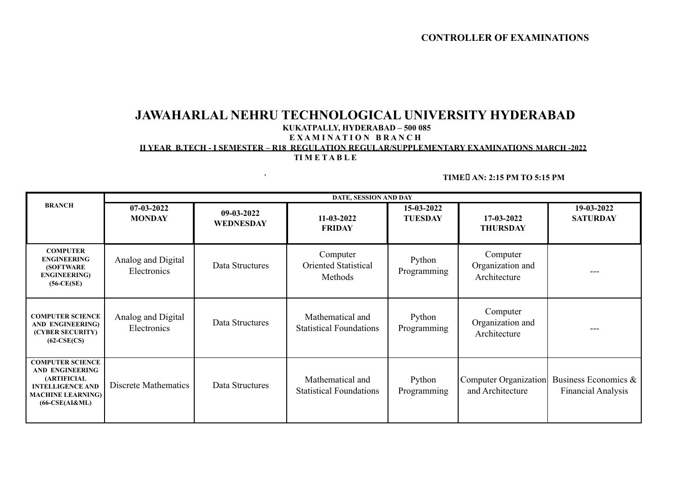# **JAWAHARLAL NEHRU TECHNOLOGICAL UNIVERSITY HYDERABAD**

### **KUKATPALLY, HYDERABAD – 500 085**

#### **E X A M I N A T I O N B R A N C H**

## **II YEAR B.TECH - I SEMESTER – R18 REGULATION REGULAR/SUPPLEMENTARY EXAMINATIONS MARCH -2022**

## **TI M E T A B L E**

#### **` TIME AN: 2:15 PM TO 5:15 PM**

|                                                                                                                                             | DATE, SESSION AND DAY             |                           |                                                    |                              |                                              |                                                   |  |
|---------------------------------------------------------------------------------------------------------------------------------------------|-----------------------------------|---------------------------|----------------------------------------------------|------------------------------|----------------------------------------------|---------------------------------------------------|--|
| <b>BRANCH</b>                                                                                                                               | $07-03-2022$<br><b>MONDAY</b>     | $09-03-2022$<br>WEDNESDAY | $11 - 03 - 2022$<br><b>FRIDAY</b>                  | 15-03-2022<br><b>TUESDAY</b> | 17-03-2022<br><b>THURSDAY</b>                | 19-03-2022<br><b>SATURDAY</b>                     |  |
| <b>COMPUTER</b><br><b>ENGINEERING</b><br><b>(SOFTWARE)</b><br><b>ENGINEERING</b> )<br>$(56-CE(SE))$                                         | Analog and Digital<br>Electronics | Data Structures           | Computer<br><b>Oriented Statistical</b><br>Methods | Python<br>Programming        | Computer<br>Organization and<br>Architecture |                                                   |  |
| <b>COMPUTER SCIENCE</b><br><b>AND ENGINEERING)</b><br>(CYBER SECURITY)<br>$(62-CSE(CS)$                                                     | Analog and Digital<br>Electronics | Data Structures           | Mathematical and<br><b>Statistical Foundations</b> | Python<br>Programming        | Computer<br>Organization and<br>Architecture |                                                   |  |
| <b>COMPUTER SCIENCE</b><br>AND ENGINEERING<br><b>(ARTIFICIAL</b><br><b>INTELLIGENCE AND</b><br><b>MACHINE LEARNING)</b><br>$(66-CSE(AI&ML)$ | Discrete Mathematics              | Data Structures           | Mathematical and<br><b>Statistical Foundations</b> | Python<br>Programming        | Computer Organization<br>and Architecture    | Business Economics &<br><b>Financial Analysis</b> |  |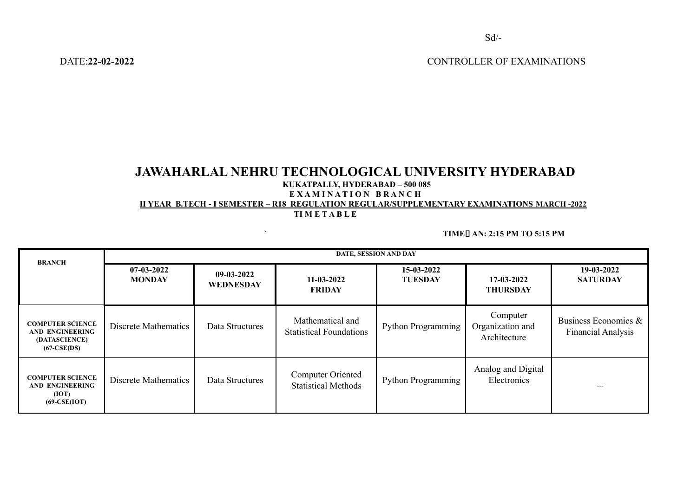DATE:**22-02-2022** CONTROLLER OF EXAMINATIONS

# **JAWAHARLAL NEHRU TECHNOLOGICAL UNIVERSITY HYDERABAD**

#### **KUKATPALLY, HYDERABAD – 500 085**

#### **E X A M I N A T I O N B R A N C H**

**II YEAR B.TECH - I SEMESTER – R18 REGULATION REGULAR/SUPPLEMENTARY EXAMINATIONS MARCH -2022**

**TI M E T A B L E**

**` TIME AN: 2:15 PM TO 5:15 PM**

| <b>BRANCH</b>                                                                       | DATE, SESSION AND DAY         |                           |                                                    |                              |                                              |                                                      |  |
|-------------------------------------------------------------------------------------|-------------------------------|---------------------------|----------------------------------------------------|------------------------------|----------------------------------------------|------------------------------------------------------|--|
|                                                                                     | $07-03-2022$<br><b>MONDAY</b> | $09-03-2022$<br>WEDNESDAY | $11 - 03 - 2022$<br><b>FRIDAY</b>                  | 15-03-2022<br><b>TUESDAY</b> | 17-03-2022<br><b>THURSDAY</b>                | 19-03-2022<br><b>SATURDAY</b>                        |  |
| <b>COMPUTER SCIENCE</b><br><b>AND ENGINEERING</b><br>(DATASCIENCE)<br>$(67-CSE(DS)$ | Discrete Mathematics          | Data Structures           | Mathematical and<br><b>Statistical Foundations</b> | <b>Python Programming</b>    | Computer<br>Organization and<br>Architecture | Business Economics $\&$<br><b>Financial Analysis</b> |  |
| <b>COMPUTER SCIENCE</b><br><b>AND ENGINEERING</b><br>(IOT)<br>$(69-CSE(IOT)$        | Discrete Mathematics          | Data Structures           | Computer Oriented<br><b>Statistical Methods</b>    | <b>Python Programming</b>    | Analog and Digital<br>Electronics            |                                                      |  |